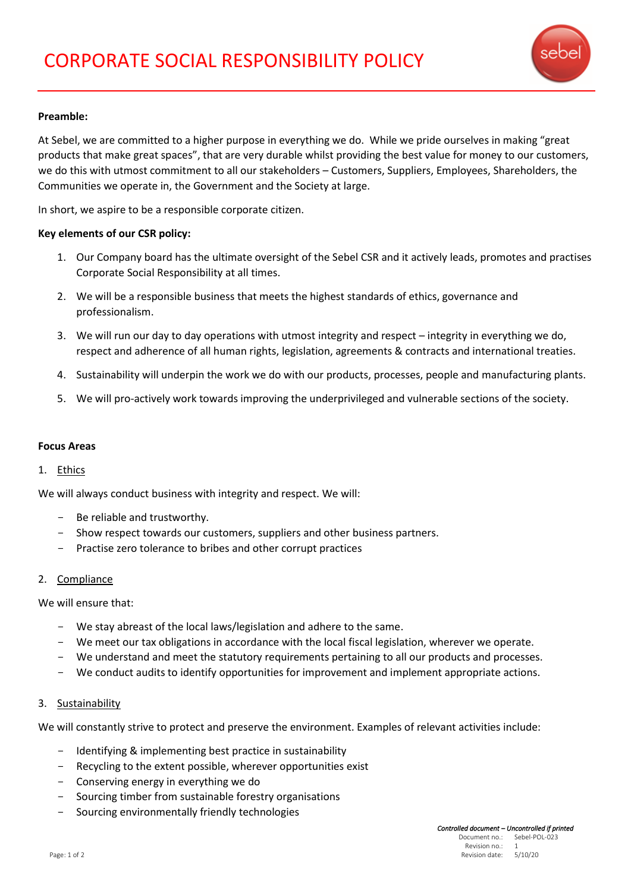

## **Preamble:**

At Sebel, we are committed to a higher purpose in everything we do. While we pride ourselves in making "great products that make great spaces", that are very durable whilst providing the best value for money to our customers, we do this with utmost commitment to all our stakeholders – Customers, Suppliers, Employees, Shareholders, the Communities we operate in, the Government and the Society at large.

In short, we aspire to be a responsible corporate citizen.

## **Key elements of our CSR policy:**

- 1. Our Company board has the ultimate oversight of the Sebel CSR and it actively leads, promotes and practises Corporate Social Responsibility at all times.
- 2. We will be a responsible business that meets the highest standards of ethics, governance and professionalism.
- 3. We will run our day to day operations with utmost integrity and respect integrity in everything we do, respect and adherence of all human rights, legislation, agreements & contracts and international treaties.
- 4. Sustainability will underpin the work we do with our products, processes, people and manufacturing plants.
- 5. We will pro-actively work towards improving the underprivileged and vulnerable sections of the society.

## **Focus Areas**

## 1. Ethics

We will always conduct business with integrity and respect. We will:

- Be reliable and trustworthy.
- Show respect towards our customers, suppliers and other business partners.
- Practise zero tolerance to bribes and other corrupt practices

## 2. Compliance

We will ensure that:

- We stay abreast of the local laws/legislation and adhere to the same.
- We meet our tax obligations in accordance with the local fiscal legislation, wherever we operate.
- We understand and meet the statutory requirements pertaining to all our products and processes.
- We conduct audits to identify opportunities for improvement and implement appropriate actions.

## 3. Sustainability

We will constantly strive to protect and preserve the environment. Examples of relevant activities include:

- Identifying & implementing best practice in sustainability
- Recycling to the extent possible, wherever opportunities exist
- Conserving energy in everything we do
- Sourcing timber from sustainable forestry organisations
- Sourcing environmentally friendly technologies